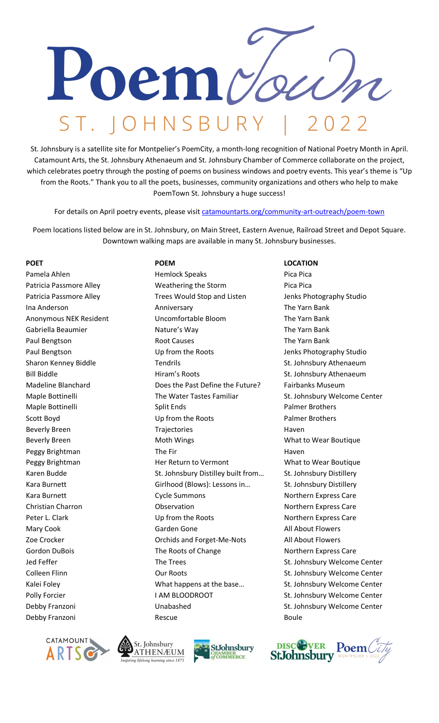

St. Johnsbury is a satellite site for Montpelier's PoemCity, a month-long recognition of National Poetry Month in April. Catamount Arts, the St. Johnsbury Athenaeum and St. Johnsbury Chamber of Commerce collaborate on the project, which celebrates poetry through the posting of poems on business windows and poetry events. This year's theme is "Up from the Roots." Thank you to all the poets, businesses, community organizations and others who help to make PoemTown St. Johnsbury a huge success!

For details on April poetry events, please visi[t catamountarts.org/community-art-outreach/poem-town](http://www.catamountarts.org/shows-and-events/poem-town)

Poem locations listed below are in St. Johnsbury, on Main Street, Eastern Avenue, Railroad Street and Depot Square. Downtown walking maps are available in many St. Johnsbury businesses.

Debby Franzoni Rescue Boule

Pamela Ahlen Hemlock Speaks Pica Pica Patricia Passmore Alley **Network** Weathering the Storm **Pica Pica Pica Pica Pica Pica Pica Pica** Patricia Passmore Alley Trees Would Stop and Listen Jenks Photography Studio Ina Anderson **Anniversary Communist Communist Communist Communist Communist Communist Communist Communist Communist Communist Communist Communist Communist Communist Communist Communist Communist Communist Communist Commun** Anonymous NEK Resident Uncomfortable Bloom The Yarn Bank Gabriella Beaumier **Nature's Way Communist Club** The Yarn Bank Paul Bengtson **Root Causes Root Causes Root Causes** The Yarn Bank Paul Bengtson Up from the Roots Jenks Photography Studio Sharon Kenney Biddle Tendrils Tendrils St. Johnsbury Athenaeum Bill Biddle **St. Johnsbury Athenaeum** Hiram's Roots St. Johnsbury Athenaeum Madeline Blanchard Does the Past Define the Future? Fairbanks Museum Maple Bottinelli The Water Tastes Familiar St. Johnsbury Welcome Center Maple Bottinelli **Nationally Split Ends** Palmer Brothers Palmer Brothers Scott Boyd **Example 20 Up from the Roots** Palmer Brothers Palmer Brothers Beverly Breen Trajectories France Haven Beverly Breen **Moth Wings** Moth Wings What to Wear Boutique Peggy Brightman The Fir The Fire Haven Peggy Brightman **Her Return to Vermont** What to Wear Boutique Karen Budde St. Johnsbury Distilley built from... St. Johnsbury Distillery Kara Burnett Girlhood (Blows): Lessons in... St. Johnsbury Distillery Kara Burnett **Northern Express Care** Cycle Summons **Northern Express Care** Christian Charron **Christian Charron** Charron Observation **Northern Express Care** Peter L. Clark Contact Clark Up from the Roots Northern Express Care Mary Cook **Garden Gone** Good Contact All About Flowers Zoe Crocker **Network Crome Crocker** Crochids and Forget-Me-Nots All About Flowers Gordon DuBois **The Roots of Change** Northern Express Care Jed Feffer The Trees The Trees St. Johnsbury Welcome Center Colleen Flinn **Collet Collegen Collegen Collegen Collegen** St. Johnsbury Welcome Center Kalei Foley **Manual Company What happens at the base** ... St. Johnsbury Welcome Center Polly Forcier **I AM BLOODROOT** St. Johnsbury Welcome Center Debby Franzoni Unabashed St. Johnsbury Welcome Center

## POET **POEM** POEM **DEM POEM POEM**







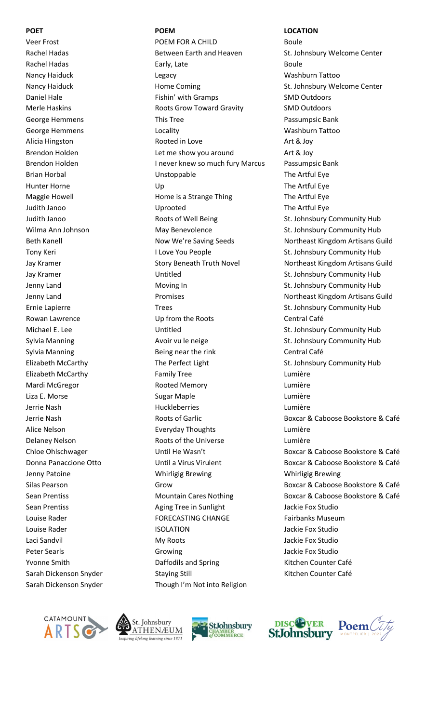Veer Frost **POEM FOR A CHILD** Boule Sarah Dickenson Snyder Though I'm Not into Religion

Rachel Hadas **Between Earth and Heaven** St. Johnsbury Welcome Center Rachel Hadas **Early, Late** Early, Late **Early, Late** Boule Nancy Haiduck Legacy Washburn Tattoo Nancy Haiduck **Home Coming St. Johnsbury Welcome Center** St. Johnsbury Welcome Center Daniel Hale **Fishin' with Gramps** SMD Outdoors Merle Haskins **Marking Controller Controller Controller Controller Controller Controller Controller Controller Controller Controller Controller Controller Controller Controller Controller Controller Controller Controller C** George Hemmens **This Tree Constant Constant Passumpsic Bank** Constant Passumpsic Bank George Hemmens **Constanting Locality** Constanting Mashburn Tattoo Alicia Hingston **Art & Joy Contact Art & Joy Contact Art Art & Joy Art & Joy** Brendon Holden **Let me show you around** Art & Joy Brendon Holden **I** never knew so much fury Marcus Passumpsic Bank Brian Horbal **No. 2018** Construction Unstoppable The Artful Eye Hunter Horne **The Artful Eve** Up **The Artful Eve** Up **The Artful Eve** Maggie Howell **Maggie Howell** Home is a Strange Thing The Artful Eye Judith Janoo **The Artful Eye** Uprooted The Artful Eye Judith Janoo **Roots of Well Being** St. Johnsbury Community Hub Wilma Ann Johnson **May Benevolence** St. Johnsbury Community Hub Tony Keri **I Love You People** St. Johnsbury Community Hub Jay Kramer **St. Johnsbury Community Hub** Untitled St. Johnsbury Community Hub Jenny Land **Moving In** Moving In St. Johnsbury Community Hub Ernie Lapierre Trees Trees Trees St. Johnsbury Community Hub Rowan Lawrence **Canadian Care Central Café** Up from the Roots Central Café Michael E. Lee **St. Johnsbury Community Hub** Untitled St. Johnsbury Community Hub Sylvia Manning **Avoir vu le neige** St. Johnsbury Community Hub Sylvia Manning The Reing near the rink The Central Café Elizabeth McCarthy **The Perfect Light** St. Johnsbury Community Hub Elizabeth McCarthy Family Tree Lumière Mardi McGregor Rooted Memory Lumière Liza E. Morse Communication and Sugar Maple Communication and Lumière Jerrie Nash Huckleberries Lumière Alice Nelson **Everyday Thoughts** Lumière Delaney Nelson Roots of the Universe Lumière Jenny Patoine Whirligig Brewing Whirligig Brewing Sean Prentiss **Aging Tree in Sunlight** Jackie Fox Studio Louise Rader **FORECASTING CHANGE** Fairbanks Museum Louise Rader **ISOLATION** ISOLATION Jackie Fox Studio Laci Sandvil **My Roots** Guide Controller My Roots And My Roots And My Roots And My Roots And My Annual Media and M Peter Searls **Growing Growing Community** Jackie Fox Studio Yvonne Smith **Daffodils and Spring Counter Café** Kitchen Counter Café Sarah Dickenson Snyder Staying Still Staying Still Kitchen Counter Café

### **POET POEM LOCATION**

Beth Kanell **Now We're Saving Seeds** Northeast Kingdom Artisans Guild Jay Kramer **Story Beneath Truth Novel** Northeast Kingdom Artisans Guild Jenny Land **Promises** Promises Northeast Kingdom Artisans Guild Jerrie Nash **Roots of Garlic** Boxcar & Caboose Bookstore & Café Chloe Ohlschwager **Until He Wasn't** Boxcar & Caboose Bookstore & Café Donna Panaccione Otto Until a Virus Virulent Boxcar & Caboose Bookstore & Café Silas Pearson Grow Boxcar & Caboose Bookstore & Café Sean Prentiss Mountain Cares Nothing Boxcar & Caboose Bookstore & Café